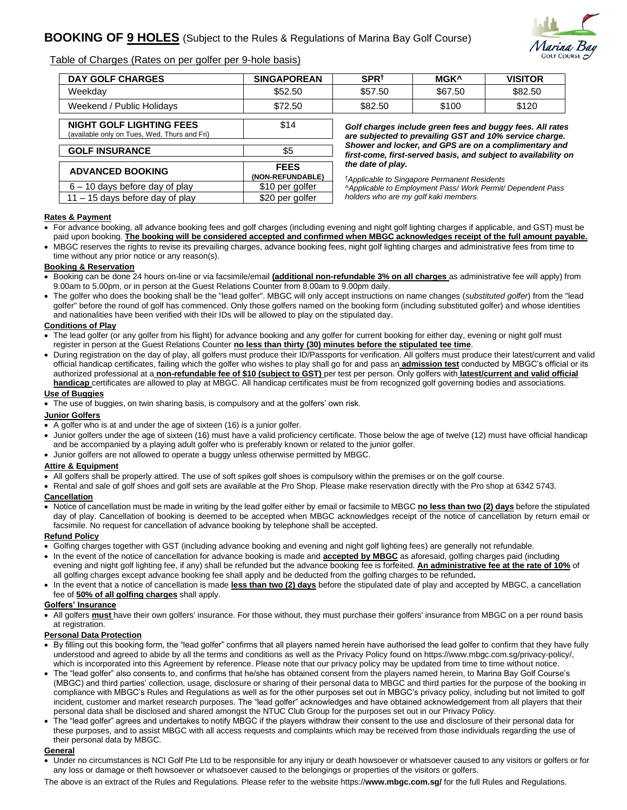

Table of Charges (Rates on per golfer per 9-hole basis)

 **ADVANCED BOOKING FEES**

 6 – 10 days before day of play \$10 per golfer  $11 - 15$  days before day of play  $\vert$  \$20 per golfer

| <b>DAY GOLF CHARGES</b>                                                         | <b>SINGAPOREAN</b> | SPR <sup>+</sup>                                                                                                          | <b>MGK^</b>                                                                                                          | <b>VISITOR</b><br>\$82.50<br>\$120 |  |  |
|---------------------------------------------------------------------------------|--------------------|---------------------------------------------------------------------------------------------------------------------------|----------------------------------------------------------------------------------------------------------------------|------------------------------------|--|--|
| Weekdav                                                                         | \$52.50            | \$57.50                                                                                                                   | \$67.50                                                                                                              |                                    |  |  |
| Weekend / Public Holidays                                                       | \$72.50            | \$82.50                                                                                                                   | \$100                                                                                                                |                                    |  |  |
| <b>NIGHT GOLF LIGHTING FEES</b><br>(available only on Tues, Wed, Thurs and Fri) | \$14               |                                                                                                                           | Golf charges include green fees and buggy fees. All rates<br>are subjected to prevailing GST and 10% service charge. |                                    |  |  |
| <b>GOLF INSURANCE</b>                                                           | \$5                | Shower and locker, and GPS are on a complimentary and<br>first same, first seminal besig, and outliest to susilability at |                                                                                                                      |                                    |  |  |

**(NON-REFUNDABLE)**

*Shower and locker, and GPS are on a complimentary and first-come, first-served basis, and subject to availability on the date of play.* 

^*Applicable to Employment Pass/ Work Permit/ Dependent Pass* 

†*Applicable to Singapore Permanent Residents*

*holders who are my golf kaki members.*

# **Rates & Payment**

- For advance booking, all advance booking fees and golf charges (including evening and night golf lighting charges if applicable, and GST) must be paid upon booking. **The booking will be considered accepted and confirmed when MBGC acknowledges receipt of the full amount payable.**
- MBGC reserves the rights to revise its prevailing charges, advance booking fees, night golf lighting charges and administrative fees from time to time without any prior notice or any reason(s).

## **Booking & Reservation**

- Booking can be done 24 hours on-line or via facsimile/email **(additional non-refundable 3% on all charges** as administrative fee will apply) from 9.00am to 5.00pm, or in person at the Guest Relations Counter from 8.00am to 9.00pm daily.
- The golfer who does the booking shall be the "lead golfer". MBGC will only accept instructions on name changes (*substituted golfer*) from the "lead golfer" before the round of golf has commenced. Only those golfers named on the booking form (including substituted golfer) and whose identities and nationalities have been verified with their IDs will be allowed to play on the stipulated day.

#### **Conditions of Play**

- The lead golfer (or any golfer from his flight) for advance booking and any golfer for current booking for either day, evening or night golf must register in person at the Guest Relations Counter **no less than thirty (30) minutes before the stipulated tee time**.
- During registration on the day of play, all golfers must produce their ID/Passports for verification. All golfers must produce their latest/current and valid official handicap certificates, failing which the golfer who wishes to play shall go for and pass an **admission test** conducted by MBGC's official or its authorized professional at a **non-refundable fee of \$10 (subject to GST)** per test per person. Only golfers with **latest/current and valid official handicap** certificates are allowed to play at MBGC. All handicap certificates must be from recognized golf governing bodies and associations.

## **Use of Buggies**

• The use of buggies, on twin sharing basis, is compulsory and at the golfers' own risk.

### **Junior Golfers**

- A golfer who is at and under the age of sixteen (16) is a junior golfer.
- Junior golfers under the age of sixteen (16) must have a valid proficiency certificate. Those below the age of twelve (12) must have official handicap and be accompanied by a playing adult golfer who is preferably known or related to the junior golfer.
- Junior golfers are not allowed to operate a buggy unless otherwise permitted by MBGC.

#### **Attire & Equipment**

- All golfers shall be properly attired. The use of soft spikes golf shoes is compulsory within the premises or on the golf course.
- Rental and sale of golf shoes and golf sets are available at the Pro Shop. Please make reservation directly with the Pro shop at 6342 5743.

#### **Cancellation**

• Notice of cancellation must be made in writing by the lead golfer either by email or facsimile to MBGC **no less than two (2) days** before the stipulated day of play. Cancellation of booking is deemed to be accepted when MBGC acknowledges receipt of the notice of cancellation by return email or facsimile. No request for cancellation of advance booking by telephone shall be accepted.

#### **Refund Policy**

- Golfing charges together with GST (including advance booking and evening and night golf lighting fees) are generally not refundable.
- In the event of the notice of cancellation for advance booking is made and **accepted by MBGC** as aforesaid, golfing charges paid (including evening and night golf lighting fee, if any) shall be refunded but the advance booking fee is forfeited. **An administrative fee at the rate of 10%** of all golfing charges except advance booking fee shall apply and be deducted from the golfing charges to be refunded**.**
- In the event that a notice of cancellation is made **less than two (2) days** before the stipulated date of play and accepted by MBGC, a cancellation fee of **50% of all golfing charges** shall apply.

#### **Golfers' Insurance**

• All golfers **must** have their own golfers' insurance. For those without, they must purchase their golfers' insurance from MBGC on a per round basis at registration.

#### **Personal Data Protection**

- By filling out this booking form, the "lead golfer" confirms that all players named herein have authorised the lead golfer to confirm that they have fully understood and agreed to abide by all the terms and conditions as well as the Privacy Policy found on https://www.mbgc.com.sg/privacy-policy/, which is incorporated into this Agreement by reference. Please note that our privacy policy may be updated from time to time without notice.
- The "lead golfer" also consents to, and confirms that he/she has obtained consent from the players named herein, to Marina Bay Golf Course's (MBGC) and third parties' collection, usage, disclosure or sharing of their personal data to MBGC and third parties for the purpose of the booking in compliance with MBGC's Rules and Regulations as well as for the other purposes set out in MBGC's privacy policy, including but not limited to golf incident, customer and market research purposes. The "lead golfer" acknowledges and have obtained acknowledgement from all players that their personal data shall be disclosed and shared amongst the NTUC Club Group for the purposes set out in our Privacy Policy.
- The "lead golfer" agrees and undertakes to notify MBGC if the players withdraw their consent to the use and disclosure of their personal data for these purposes, and to assist MBGC with all access requests and complaints which may be received from those individuals regarding the use of their personal data by MBGC.

#### **General**

- Under no circumstances is NCI Golf Pte Ltd to be responsible for any injury or death howsoever or whatsoever caused to any visitors or golfers or for any loss or damage or theft howsoever or whatsoever caused to the belongings or properties of the visitors or golfers.
- The above is an extract of the Rules and Regulations. Please refer to the website https://**www.mbgc.com.sg/** for the full Rules and Regulations.